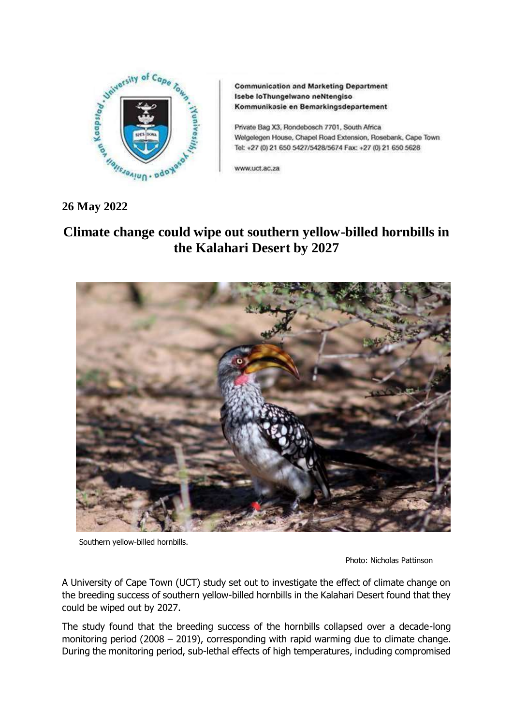

**Communication and Marketing Department** Isebe loThungelwano neNtengiso Kommunikasie en Bemarkingsdepartement

Private Bag X3, Rondebosch 7701, South Africa Welgelegen House, Chapel Road Extension, Rosebank, Cape Town Tel: +27 (0) 21 650 5427/5428/5674 Fax: +27 (0) 21 650 5628

www.uct.ac.za

## **26 May 2022**

## **Climate change could wipe out southern yellow-billed hornbills in the Kalahari Desert by 2027**



Southern yellow-billed hornbills.

Photo: Nicholas Pattinson

A University of Cape Town (UCT) study set out to investigate the effect of climate change on the breeding success of southern yellow-billed hornbills in the Kalahari Desert found that they could be wiped out by 2027.

The study found that the breeding success of the hornbills collapsed over a decade-long monitoring period (2008 – 2019), corresponding with rapid warming due to climate change. During the monitoring period, sub-lethal effects of high temperatures, including compromised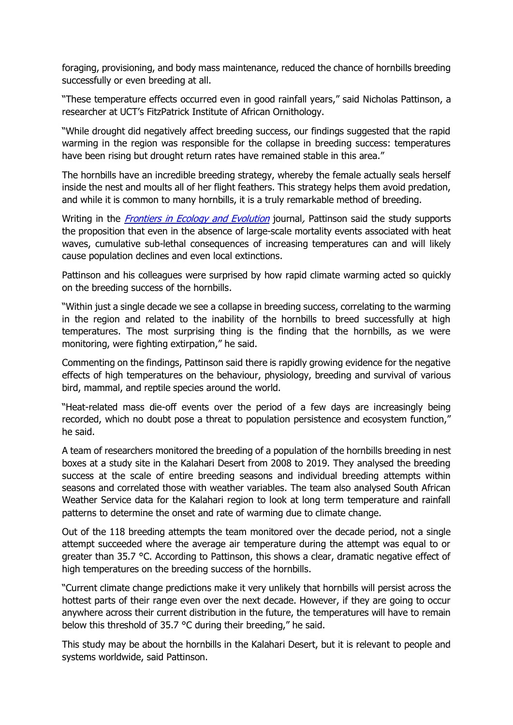foraging, provisioning, and body mass maintenance, reduced the chance of hornbills breeding successfully or even breeding at all.

"These temperature effects occurred even in good rainfall years," said Nicholas Pattinson, a researcher at UCT's FitzPatrick Institute of African Ornithology.

"While drought did negatively affect breeding success, our findings suggested that the rapid warming in the region was responsible for the collapse in breeding success: temperatures have been rising but drought return rates have remained stable in this area."

The hornbills have an incredible breeding strategy, whereby the female actually seals herself inside the nest and moults all of her flight feathers. This strategy helps them avoid predation, and while it is common to many hornbills, it is a truly remarkable method of breeding.

Writing in the *[Frontiers in Ecology and Evolution](https://www.frontiersin.org/articles/10.3389/fevo.2022.842264/full#h5)* journal, Pattinson said the study supports the proposition that even in the absence of large-scale mortality events associated with heat waves, cumulative sub-lethal consequences of increasing temperatures can and will likely cause population declines and even local extinctions.

Pattinson and his colleagues were surprised by how rapid climate warming acted so quickly on the breeding success of the hornbills.

"Within just a single decade we see a collapse in breeding success, correlating to the warming in the region and related to the inability of the hornbills to breed successfully at high temperatures. The most surprising thing is the finding that the hornbills, as we were monitoring, were fighting extirpation," he said.

Commenting on the findings, Pattinson said there is rapidly growing evidence for the negative effects of high temperatures on the behaviour, physiology, breeding and survival of various bird, mammal, and reptile species around the world.

"Heat-related mass die-off events over the period of a few days are increasingly being recorded, which no doubt pose a threat to population persistence and ecosystem function," he said.

A team of researchers monitored the breeding of a population of the hornbills breeding in nest boxes at a study site in the Kalahari Desert from 2008 to 2019. They analysed the breeding success at the scale of entire breeding seasons and individual breeding attempts within seasons and correlated those with weather variables. The team also analysed South African Weather Service data for the Kalahari region to look at long term temperature and rainfall patterns to determine the onset and rate of warming due to climate change.

Out of the 118 breeding attempts the team monitored over the decade period, not a single attempt succeeded where the average air temperature during the attempt was equal to or greater than 35.7 °C. According to Pattinson, this shows a clear, dramatic negative effect of high temperatures on the breeding success of the hornbills.

"Current climate change predictions make it very unlikely that hornbills will persist across the hottest parts of their range even over the next decade. However, if they are going to occur anywhere across their current distribution in the future, the temperatures will have to remain below this threshold of 35.7 °C during their breeding," he said.

This study may be about the hornbills in the Kalahari Desert, but it is relevant to people and systems worldwide, said Pattinson.